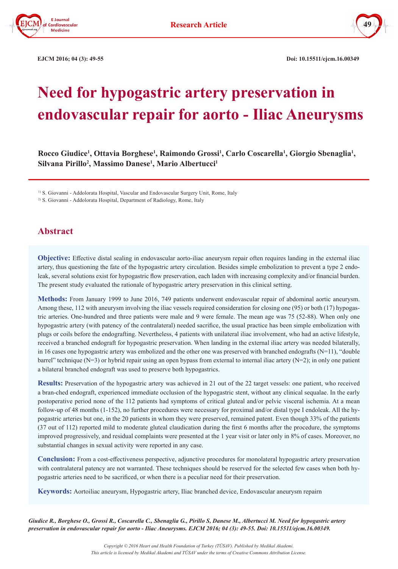



 **EJCM 2016; 04 (3): 49-55 Doi: 10.15511/ejcm.16.00349**

# **Need for hypogastric artery preservation in endovascular repair for aorto - Iliac Aneurysms**

**Rocco Giudice1 , Ottavia Borghese1 , Raimondo Grossi1 , Carlo Coscarella1 , Giorgio Sbenaglia1 , Silvana Pirillo2 , Massimo Danese1 , Mario Albertucci1**

<sup>1)</sup> S. Giovanni - Addolorata Hospital, Vascular and Endovascular Surgery Unit, Rome, Italy

<sup>2)</sup> S. Giovanni - Addolorata Hospital, Department of Radiology, Rome, Italy

## **Abstract**

**Objective:** Effective distal sealing in endovascular aorto-iliac aneurysm repair often requires landing in the external iliac artery, thus questioning the fate of the hypogastric artery circulation. Besides simple embolization to prevent a type 2 endoleak, several solutions exist for hypogastric flow preservation, each laden with increasing complexity and/or financial burden. The present study evaluated the rationale of hypogastric artery preservation in this clinical setting.

**Methods:** From January 1999 to June 2016, 749 patients underwent endovascular repair of abdominal aortic aneurysm. Among these, 112 with aneurysm involving the iliac vessels required consideration for closing one (95) or both (17) hypogastric arteries. One-hundred and three patients were male and 9 were female. The mean age was 75 (52-88). When only one hypogastric artery (with patency of the contralateral) needed sacrifice, the usual practice has been simple embolization with plugs or coils before the endografting. Nevertheless, 4 patients with unilateral iliac involvement, who had an active lifestyle, received a branched endograft for hypogastric preservation. When landing in the external iliac artery was needed bilaterally, in 16 cases one hypogastric artery was embolized and the other one was preserved with branched endografts  $(N=11)$ , "double barrel" technique (N=3) or hybrid repair using an open bypass from external to internal iliac artery (N=2); in only one patient a bilateral branched endograft was used to preserve both hypogastrics.

**Results:** Preservation of the hypogastric artery was achieved in 21 out of the 22 target vessels: one patient, who received a bran-ched endograft, experienced immediate occlusion of the hypogastric stent, without any clinical sequalae. In the early postoperative period none of the 112 patients had symptoms of critical gluteal and/or pelvic visceral ischemia. At a mean follow-up of 48 months (1-152), no further procedures were necessary for proximal and/or distal type I endoleak. All the hypogastric arteries but one, in the 20 patients in whom they were preserved, remained patent. Even though 33% of the patients (37 out of 112) reported mild to moderate gluteal claudication during the first 6 months after the procedure, the symptoms improved progressively, and residual complaints were presented at the 1 year visit or later only in 8% of cases. Moreover, no substantial changes in sexual activity were reported in any case.

**Conclusion:** From a cost-effectiveness perspective, adjunctive procedures for monolateral hypogastric artery preservation with contralateral patency are not warranted. These techniques should be reserved for the selected few cases when both hypogastric arteries need to be sacrificed, or when there is a peculiar need for their preservation.

**Keywords:** Aortoiliac aneurysm, Hypogastric artery, Iliac branched device, Endovascular aneurysm repairn

*Giudice R., Borghese O., Grossi R., Coscarella C., Sbenaglia G., Pirillo S, Danese M., Albertucci M. Need for hypogastric artery preservation in endovascular repair for aorto - Iliac Aneurysms. EJCM 2016; 04 (3): 49-55. Doi: 10.15511/ejcm.16.00349.*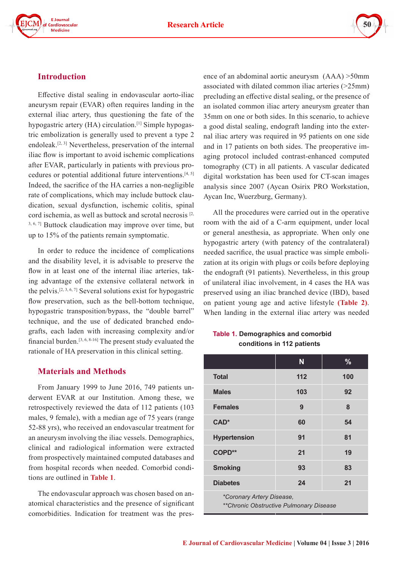



#### **Introduction**

Effective distal sealing in endovascular aorto-iliac aneurysm repair (EVAR) often requires landing in the external iliac artery, thus questioning the fate of the hypogastric artery (HA) circulation.<sup>[1]</sup> Simple hypogastric embolization is generally used to prevent a type 2 endoleak.[2, 3] Nevertheless, preservation of the internal iliac flow is important to avoid ischemic complications after EVAR, particularly in patients with previous procedures or potential additional future interventions.[4, 5] Indeed, the sacrifice of the HA carries a non-negligible rate of complications, which may include buttock claudication, sexual dysfunction, ischemic colitis, spinal cord ischemia, as well as buttock and scrotal necrosis  $[2, 1]$ 3, 6, 7] Buttock claudication may improve over time, but up to 15% of the patients remain symptomatic.

In order to reduce the incidence of complications and the disability level, it is advisable to preserve the flow in at least one of the internal iliac arteries, taking advantage of the extensive collateral network in the pelvis.<sup>[2, 3, 6, 7]</sup> Several solutions exist for hypogastric flow preservation, such as the bell-bottom technique, hypogastric transposition/bypass, the "double barrel" technique, and the use of dedicated branched endografts, each laden with increasing complexity and/or financial burden.[3, 6, 8-16] The present study evaluated the rationale of HA preservation in this clinical setting.

#### **Materials and Methods**

From January 1999 to June 2016, 749 patients underwent EVAR at our Institution. Among these, we retrospectively reviewed the data of 112 patients (103 males, 9 female), with a median age of 75 years (range 52-88 yrs), who received an endovascular treatment for an aneurysm involving the iliac vessels. Demographics, clinical and radiological information were extracted from prospectively maintained computed databases and from hospital records when needed. Comorbid conditions are outlined in **Table 1**.

The endovascular approach was chosen based on anatomical characteristics and the presence of significant comorbidities. Indication for treatment was the presence of an abdominal aortic aneurysm (AAA) >50mm associated with dilated common iliac arteries (>25mm) precluding an effective distal sealing, or the presence of an isolated common iliac artery aneurysm greater than 35mm on one or both sides. In this scenario, to achieve a good distal sealing, endograft landing into the external iliac artery was required in 95 patients on one side and in 17 patients on both sides. The preoperative imaging protocol included contrast-enhanced computed tomography (CT) in all patients. A vascular dedicated digital workstation has been used for CT-scan images analysis since 2007 (Aycan Osirix PRO Workstation, Aycan Inc, Wuerzburg, Germany).

All the procedures were carried out in the operative room with the aid of a C-arm equipment, under local or general anesthesia, as appropriate. When only one hypogastric artery (with patency of the contralateral) needed sacrifice, the usual practice was simple embolization at its origin with plugs or coils before deploying the endograft (91 patients). Nevertheless, in this group of unilateral iliac involvement, in 4 cases the HA was preserved using an iliac branched device (IBD), based on patient young age and active lifestyle **(Table 2)**. When landing in the external iliac artery was needed

## **Table 1. Demographics and comorbid conditions in 112 patients**

|                                                                       | N   | $\frac{9}{6}$ |  |
|-----------------------------------------------------------------------|-----|---------------|--|
| <b>Total</b>                                                          | 112 | 100           |  |
| <b>Males</b>                                                          | 103 | 92            |  |
| <b>Females</b>                                                        | 9   | 8             |  |
| $CAD*$                                                                | 60  | 54            |  |
| <b>Hypertension</b>                                                   | 91  | 81            |  |
| COPD**                                                                | 21  | 19            |  |
| <b>Smoking</b>                                                        | 93  | 83            |  |
| <b>Diabetes</b>                                                       | 24  | 21            |  |
| *Coronary Artery Disease,<br>** Chronic Obstructive Pulmonary Disease |     |               |  |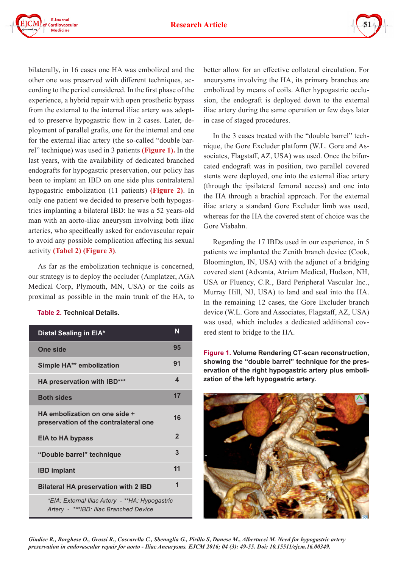



bilaterally, in 16 cases one HA was embolized and the other one was preserved with different techniques, according to the period considered. In the first phase of the experience, a hybrid repair with open prosthetic bypass from the external to the internal iliac artery was adopted to preserve hypogastric flow in 2 cases. Later, deployment of parallel grafts, one for the internal and one for the external iliac artery (the so-called "double barrel" technique) was used in 3 patients **(Figure 1).** In the last years, with the availability of dedicated branched endografts for hypogastric preservation, our policy has been to implant an IBD on one side plus contralateral hypogastric embolization (11 patients) **(Figure 2)**. In only one patient we decided to preserve both hypogastrics implanting a bilateral IBD: he was a 52 years-old man with an aorto-iliac aneurysm involving both iliac arteries, who specifically asked for endovascular repair to avoid any possible complication affecting his sexual activity **(Tabel 2) (Figure 3)**.

As far as the embolization technique is concerned, our strategy is to deploy the occluder (Amplatzer, AGA Medical Corp, Plymouth, MN, USA) or the coils as proximal as possible in the main trunk of the HA, to

#### **Table 2. Technical Details.**

| Distal Sealing in EIA*                                                                    | N              |  |
|-------------------------------------------------------------------------------------------|----------------|--|
| <b>One side</b>                                                                           | 95             |  |
| Simple HA** embolization                                                                  | 91             |  |
| HA preservation with IBD***                                                               | 4              |  |
| <b>Both sides</b>                                                                         | 17             |  |
| HA embolization on one side +<br>preservation of the contralateral one                    | 16             |  |
| <b>EIA to HA bypass</b>                                                                   | $\overline{2}$ |  |
| "Double barrel" technique                                                                 | 3              |  |
| <b>IBD implant</b>                                                                        | 11             |  |
| <b>Bilateral HA preservation with 2 IBD</b>                                               | 1              |  |
| *EIA: External Iliac Artery - **HA: Hypogastric<br>Artery - ***IBD: Iliac Branched Device |                |  |

better allow for an effective collateral circulation. For aneurysms involving the HA, its primary branches are embolized by means of coils. After hypogastric occlusion, the endograft is deployed down to the external iliac artery during the same operation or few days later in case of staged procedures.

In the 3 cases treated with the "double barrel" technique, the Gore Excluder platform (W.L. Gore and Associates, Flagstaff, AZ, USA) was used. Once the bifurcated endograft was in position, two parallel covered stents were deployed, one into the external iliac artery (through the ipsilateral femoral access) and one into the HA through a brachial approach. For the external iliac artery a standard Gore Excluder limb was used, whereas for the HA the covered stent of choice was the Gore Viabahn.

Regarding the 17 IBDs used in our experience, in 5 patients we implanted the Zenith branch device (Cook, Bloomington, IN, USA) with the adjunct of a bridging covered stent (Advanta, Atrium Medical, Hudson, NH, USA or Fluency, C.R., Bard Peripheral Vascular Inc., Murray Hill, NJ, USA) to land and seal into the HA. In the remaining 12 cases, the Gore Excluder branch device (W.L. Gore and Associates, Flagstaff, AZ, USA) was used, which includes a dedicated additional covered stent to bridge to the HA.

**Figure 1. Volume Rendering CT-scan reconstruction, showing the "double barrel" technique for the preservation of the right hypogastric artery plus embolization of the left hypogastric artery.**



*Giudice R., Borghese O., Grossi R., Coscarella C., Sbenaglia G., Pirillo S, Danese M., Albertucci M. Need for hypogastric artery preservation in endovascular repair for aorto - Iliac Aneurysms. EJCM 2016; 04 (3): 49-55. Doi: 10.15511/ejcm.16.00349.*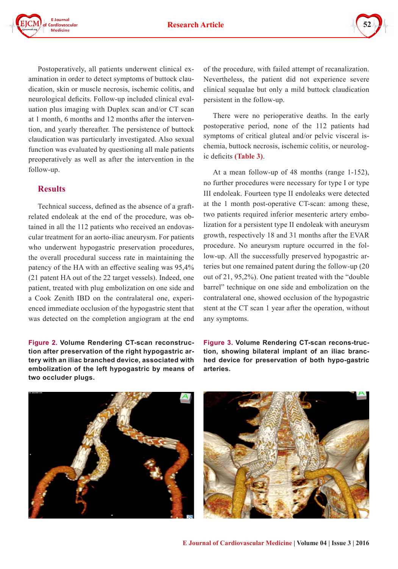



Postoperatively, all patients underwent clinical examination in order to detect symptoms of buttock claudication, skin or muscle necrosis, ischemic colitis, and neurological deficits. Follow-up included clinical evaluation plus imaging with Duplex scan and/or CT scan at 1 month, 6 months and 12 months after the intervention, and yearly thereafter. The persistence of buttock claudication was particularly investigated. Also sexual function was evaluated by questioning all male patients preoperatively as well as after the intervention in the follow-up.

## **Results**

Technical success, defined as the absence of a graftrelated endoleak at the end of the procedure, was obtained in all the 112 patients who received an endovascular treatment for an aorto-iliac aneurysm. For patients who underwent hypogastric preservation procedures, the overall procedural success rate in maintaining the patency of the HA with an effective sealing was 95,4% (21 patent HA out of the 22 target vessels). Indeed, one patient, treated with plug embolization on one side and a Cook Zenith IBD on the contralateral one, experienced immediate occlusion of the hypogastric stent that was detected on the completion angiogram at the end

**Figure 2. Volume Rendering CT-scan reconstruction after preservation of the right hypogastric artery with an iliac branched device, associated with embolization of the left hypogastric by means of two occluder plugs.**

of the procedure, with failed attempt of recanalization. Nevertheless, the patient did not experience severe clinical sequalae but only a mild buttock claudication persistent in the follow-up.

There were no perioperative deaths. In the early postoperative period, none of the 112 patients had symptoms of critical gluteal and/or pelvic visceral ischemia, buttock necrosis, ischemic colitis, or neurologic deficits **(Table 3)**.

At a mean follow-up of 48 months (range 1-152), no further procedures were necessary for type I or type III endoleak. Fourteen type II endoleaks were detected at the 1 month post-operative CT-scan: among these, two patients required inferior mesenteric artery embolization for a persistent type II endoleak with aneurysm growth, respectively 18 and 31 months after the EVAR procedure. No aneurysm rupture occurred in the follow-up. All the successfully preserved hypogastric arteries but one remained patent during the follow-up (20 out of 21, 95,2%). One patient treated with the "double barrel" technique on one side and embolization on the contralateral one, showed occlusion of the hypogastric stent at the CT scan 1 year after the operation, without any symptoms.

**Figure 3. Volume Rendering CT-scan recons-truction, showing bilateral implant of an iliac branched device for preservation of both hypo-gastric arteries.**



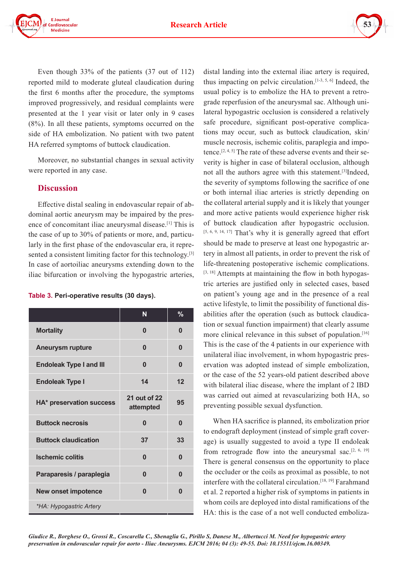



Even though 33% of the patients (37 out of 112) reported mild to moderate gluteal claudication during the first 6 months after the procedure, the symptoms improved progressively, and residual complaints were presented at the 1 year visit or later only in 9 cases (8%). In all these patients, symptoms occurred on the side of HA embolization. No patient with two patent HA referred symptoms of buttock claudication.

Moreover, no substantial changes in sexual activity were reported in any case.

#### **Discussion**

Effective distal sealing in endovascular repair of abdominal aortic aneurysm may be impaired by the presence of concomitant iliac aneurysmal disease.[1] This is the case of up to 30% of patients or more, and, particularly in the first phase of the endovascular era, it represented a consistent limiting factor for this technology.<sup>[3]</sup> In case of aortoiliac aneurysms extending down to the iliac bifurcation or involving the hypogastric arteries,

#### **Table 3. Peri-operative results (30 days).**

|                                | N                         | $\%$     |
|--------------------------------|---------------------------|----------|
| <b>Mortality</b>               | 0                         | 0        |
| <b>Aneurysm rupture</b>        | 0                         | 0        |
| <b>Endoleak Type I and III</b> | $\bf{0}$                  | $\bf{0}$ |
| <b>Endoleak Type I</b>         | 14                        | 12       |
| HA* preservation success       | 21 out of 22<br>attempted | 95       |
| <b>Buttock necrosis</b>        | 0                         | $\bf{0}$ |
| <b>Buttock claudication</b>    | 37                        | 33       |
| <b>Ischemic colitis</b>        | $\bf{0}$                  | $\Omega$ |
| Paraparesis / paraplegia       | 0                         | $\bf{0}$ |
| <b>New onset impotence</b>     | $\bf{0}$                  | $\bf{0}$ |
| *HA: Hypogastric Artery        |                           |          |

distal landing into the external iliac artery is required, thus impacting on pelvic circulation.[1-3, 5, 6] Indeed, the usual policy is to embolize the HA to prevent a retrograde reperfusion of the aneurysmal sac. Although unilateral hypogastric occlusion is considered a relatively safe procedure, significant post-operative complications may occur, such as buttock claudication, skin/ muscle necrosis, ischemic colitis, paraplegia and impotence.[2, 4, 5] The rate of these adverse events and their severity is higher in case of bilateral occlusion, although not all the authors agree with this statement.[3]Indeed, the severity of symptoms following the sacrifice of one or both internal iliac arteries is strictly depending on the collateral arterial supply and it is likely that younger and more active patients would experience higher risk of buttock claudication after hypogastric occlusion. [5, 6, 9, 14, 17] That's why it is generally agreed that effort should be made to preserve at least one hypogastric artery in almost all patients, in order to prevent the risk of life-threatening postoperative ischemic complications. [3, 18] Attempts at maintaining the flow in both hypogastric arteries are justified only in selected cases, based on patient's young age and in the presence of a real active lifestyle, to limit the possibility of functional disabilities after the operation (such as buttock claudication or sexual function impairment) that clearly assume more clinical relevance in this subset of population.<sup>[16]</sup> This is the case of the 4 patients in our experience with unilateral iliac involvement, in whom hypogastric preservation was adopted instead of simple embolization, or the case of the 52 years-old patient described above with bilateral iliac disease, where the implant of 2 IBD was carried out aimed at revascularizing both HA, so preventing possible sexual dysfunction.

When HA sacrifice is planned, its embolization prior to endograft deployment (instead of simple graft coverage) is usually suggested to avoid a type II endoleak from retrograde flow into the aneurysmal sac.<sup>[2, 6, 19]</sup> There is general consensus on the opportunity to place the occluder or the coils as proximal as possible, to not interfere with the collateral circulation.[18, 19] Farahmand et al. 2 reported a higher risk of symptoms in patients in whom coils are deployed into distal ramifications of the HA: this is the case of a not well conducted emboliza-

*Giudice R., Borghese O., Grossi R., Coscarella C., Sbenaglia G., Pirillo S, Danese M., Albertucci M. Need for hypogastric artery preservation in endovascular repair for aorto - Iliac Aneurysms. EJCM 2016; 04 (3): 49-55. Doi: 10.15511/ejcm.16.00349.*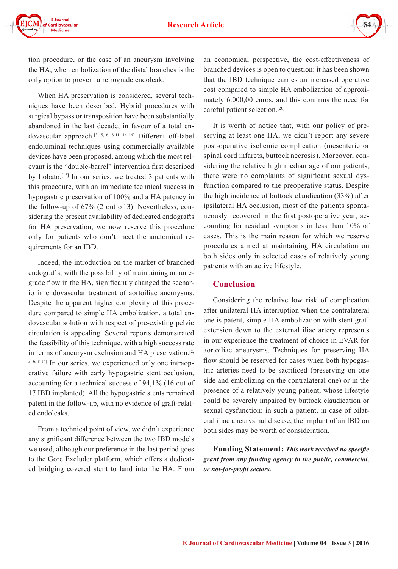

tion procedure, or the case of an aneurysm involving the HA, when embolization of the distal branches is the only option to prevent a retrograde endoleak.

When HA preservation is considered, several techniques have been described. Hybrid procedures with surgical bypass or transposition have been substantially abandoned in the last decade, in favour of a total endovascular approach.[3, 5, 6, 8-11, 14-16] Different off-label endoluminal techniques using commercially available devices have been proposed, among which the most relevant is the "double-barrel" intervention first described by Lobato.[13] In our series, we treated 3 patients with this procedure, with an immediate technical success in hypogastric preservation of 100% and a HA patency in the follow-up of 67% (2 out of 3). Nevertheless, considering the present availability of dedicated endografts for HA preservation, we now reserve this procedure only for patients who don't meet the anatomical requirements for an IBD.

Indeed, the introduction on the market of branched endografts, with the possibility of maintaining an antegrade flow in the HA, significantly changed the scenario in endovascular treatment of aortoiliac aneurysms. Despite the apparent higher complexity of this procedure compared to simple HA embolization, a total endovascular solution with respect of pre-existing pelvic circulation is appealing. Several reports demonstrated the feasibility of this technique, with a high success rate in terms of aneurysm exclusion and HA preservation.<sup>[2,</sup> 3, 6, 8-14] In our series, we experienced only one intraoperative failure with early hypogastric stent occlusion, accounting for a technical success of 94,1% (16 out of 17 IBD implanted). All the hypogastric stents remained patent in the follow-up, with no evidence of graft-related endoleaks.

From a technical point of view, we didn't experience any significant difference between the two IBD models we used, although our preference in the last period goes to the Gore Excluder platform, which offers a dedicated bridging covered stent to land into the HA. From an economical perspective, the cost-effectiveness of branched devices is open to question: it has been shown that the IBD technique carries an increased operative cost compared to simple HA embolization of approximately 6.000,00 euros, and this confirms the need for careful patient selection.[20]

It is worth of notice that, with our policy of preserving at least one HA, we didn't report any severe post-operative ischemic complication (mesenteric or spinal cord infarcts, buttock necrosis). Moreover, considering the relative high median age of our patients, there were no complaints of significant sexual dysfunction compared to the preoperative status. Despite the high incidence of buttock claudication (33%) after ipsilateral HA occlusion, most of the patients spontaneously recovered in the first postoperative year, accounting for residual symptoms in less than 10% of cases. This is the main reason for which we reserve procedures aimed at maintaining HA circulation on both sides only in selected cases of relatively young patients with an active lifestyle.

#### **Conclusion**

Considering the relative low risk of complication after unilateral HA interruption when the contralateral one is patent, simple HA embolization with stent graft extension down to the external iliac artery represents in our experience the treatment of choice in EVAR for aortoiliac aneurysms. Techniques for preserving HA flow should be reserved for cases when both hypogastric arteries need to be sacrificed (preserving on one side and embolizing on the contralateral one) or in the presence of a relatively young patient, whose lifestyle could be severely impaired by buttock claudication or sexual dysfunction: in such a patient, in case of bilateral iliac aneurysmal disease, the implant of an IBD on both sides may be worth of consideration.

**Funding Statement:** *This work received no specific grant from any funding agency in the public, commercial, or not-for-profit sectors.*